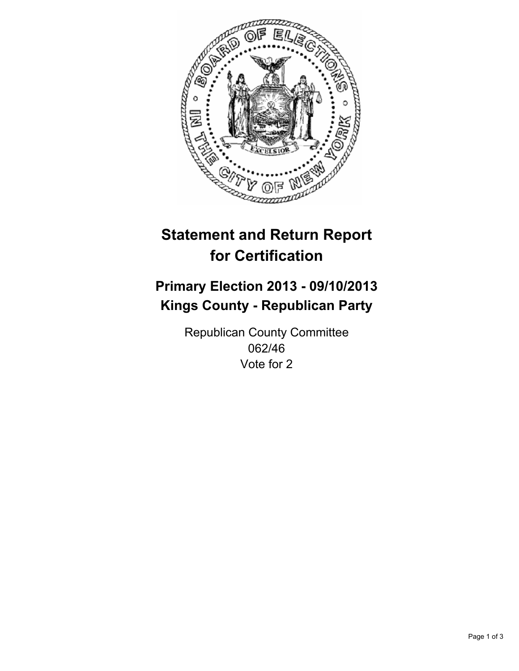

# **Statement and Return Report for Certification**

## **Primary Election 2013 - 09/10/2013 Kings County - Republican Party**

Republican County Committee 062/46 Vote for 2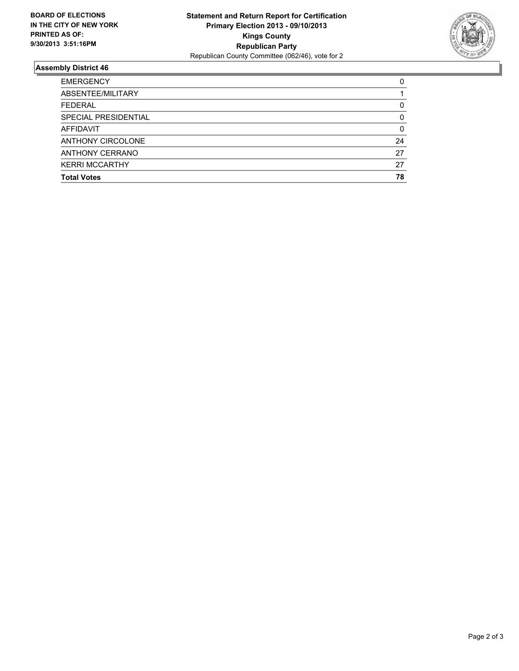

### **Assembly District 46**

| <b>EMERGENCY</b>      | 0  |
|-----------------------|----|
| ABSENTEE/MILITARY     |    |
| <b>FEDERAL</b>        | 0  |
| SPECIAL PRESIDENTIAL  | 0  |
| <b>AFFIDAVIT</b>      | 0  |
| ANTHONY CIRCOLONE     | 24 |
| ANTHONY CERRANO       | 27 |
| <b>KERRI MCCARTHY</b> | 27 |
| <b>Total Votes</b>    | 78 |